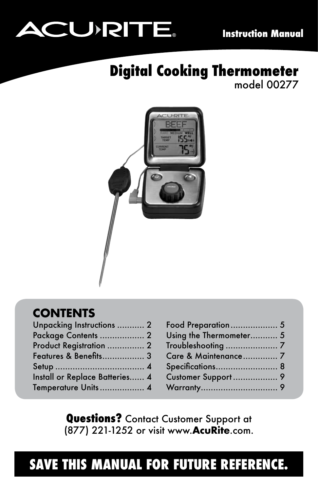# **ACURITE**

# **Digital Cooking Thermometer** model 00277



# **CONTENTS**

| Unpacking Instructions  2      |  |
|--------------------------------|--|
| Package Contents  2            |  |
| Product Registration  2        |  |
| Features & Benefits 3          |  |
|                                |  |
| Install or Replace Batteries 4 |  |
| Temperature Units 4            |  |
|                                |  |

| Food Preparation 5      |  |
|-------------------------|--|
| Using the Thermometer 5 |  |
|                         |  |
| Care & Maintenance 7    |  |
| Specifications 8        |  |
|                         |  |
|                         |  |
|                         |  |

**Questions?** Contact Customer Support at (877) 221-1252 or visit www.**AcuRite**.com.

# **SAVE THIS MANUAL FOR FUTURE REFERENCE.**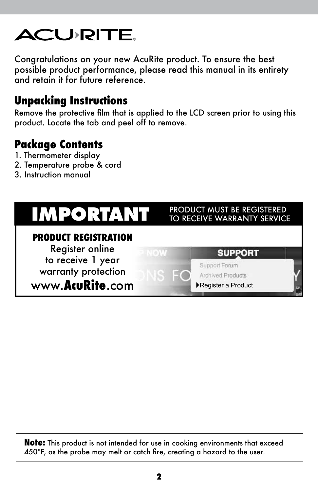

Congratulations on your new AcuRite product. To ensure the best possible product performance, please read this manual in its entirety and retain it for future reference.

# **Unpacking Instructions**

Remove the protective film that is applied to the LCD screen prior to using this product. Locate the tab and peel off to remove.

# **Package Contents**

- 1. Thermometer display
- 2. Temperature probe & cord
- 3. Instruction manual



**Note:** This product is not intended for use in cooking environments that exceed 450ºF, as the probe may melt or catch fire, creating a hazard to the user.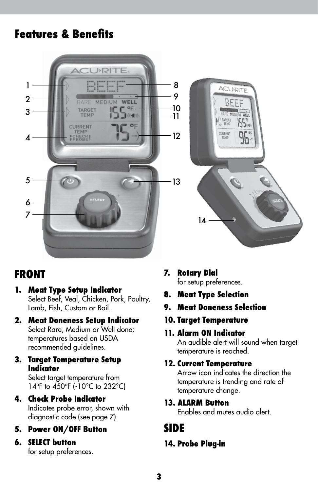# **Features & Benefits**



# **FRONT**

- **1. Meat Type Setup Indicator** Select Beef, Veal, Chicken, Pork, Poultry, Lamb, Fish, Custom or Boil.
- **2. Meat Doneness Setup Indicator** Select Rare, Medium or Well done; temperatures based on USDA recommended guidelines.

#### **3. Target Temperature Setup Indicator**

Select target temperature from 14ºF to 450ºF (-10°C to 232°C)

#### **4. Check Probe Indicator**

Indicates probe error, shown with diagnostic code (see page 7).

#### **5. Power ON/OFF Button**

#### **6. SELECT button**

for setup preferences.

#### **7. Rotary Dial**

for setup preferences.

- **8. Meat Type Selection**
- **9. Meat Doneness Selection**
- **10. Target Temperature**

#### **11. Alarm ON Indicator**

An audible alert will sound when target temperature is reached.

#### **12. Current Temperature**

Arrow icon indicates the direction the temperature is trending and rate of temperature change.

#### **13. ALARM Button**

Enables and mutes audio alert.

### **SIDE**

#### **14. Probe Plug-in**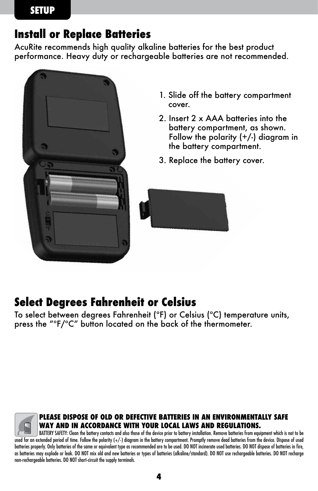# **Install or Replace Batteries**

AcuRite recommends high quality alkaline batteries for the best product performance. Heavy duty or rechargeable batteries are not recommended.



- 1. Slide off the battery compartment cover.
- 2. Insert 2 x AAA batteries into the battery compartment, as shown. Follow the polarity  $(+/-)$  diagram in the battery compartment.
- 3. Replace the battery cover.



# **Select Degrees Fahrenheit or Celsius**

To select between degrees Fahrenheit (ºF) or Celsius (ºC) temperature units, press the "ºF/ºC" button located on the back of the thermometer.



#### **PLEASE DISPOSE OF OLD OR DEFECTIVE BATTERIES IN AN ENVIRONMENTALLY SAFE WAY AND IN ACCORDANCE WITH YOUR LOCAL LAWS AND REGULATIONS.**

BATTERY SAFETY: Clean the battery contacts and also those of the device prior to battery installation. Remove batteries from equipment which is not to be used for an extended period of time. Follow the polarity (+/-) diagram in the battery compartment. Promptly remove dead batteries from the device. Dispose of used batteries properly. Only batteries of the same or equivalent type as recommended are to be used. DO NOT incinerate used batteries. DO NOT dispose of batteries in fire, as batteries may explode or leak. DO NOT mix old and new batteries or types of batteries (alkaline/standard). DO NOT use rechargeable batteries. DO NOT recharge non-rechargeable batteries. DO NOT short-circuit the supply terminals.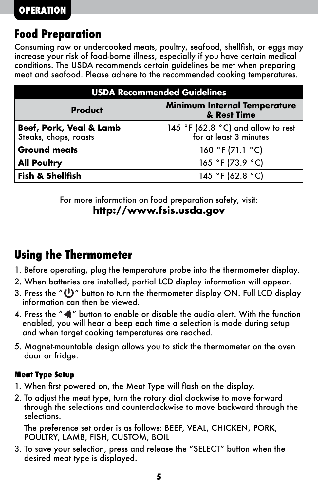# **Food Preparation**

Consuming raw or undercooked meats, poultry, seafood, shellfish, or eggs may increase your risk of food-borne illness, especially if you have certain medical conditions. The USDA recommends certain guidelines be met when preparing meat and seafood. Please adhere to the recommended cooking temperatures.

| <b>USDA Recommended Guidelines</b>               |                                                              |  |  |
|--------------------------------------------------|--------------------------------------------------------------|--|--|
| <b>Product</b>                                   | <b>Minimum Internal Temperature</b><br>& Rest Time           |  |  |
| Beef, Pork, Veal & Lamb<br>Steaks, chops, roasts | 145 °F (62.8 °C) and allow to rest<br>for at least 3 minutes |  |  |
| <b>Ground meats</b>                              | 160 °F (71.1 °C)                                             |  |  |
| <b>All Poultry</b>                               | 165 °F (73.9 °C)                                             |  |  |
| <b>Fish &amp; Shellfish</b>                      | 145 °F (62.8 °C)                                             |  |  |

For more information on food preparation safety, visit: **http://www.fsis.usda.gov**

# **Using the Thermometer**

- 1. Before operating, plug the temperature probe into the thermometer display.
- 2. When batteries are installed, partial LCD display information will appear.
- 3. Press the " $\bigcup$ " button to turn the thermometer display ON. Full LCD display information can then be viewed.
- 4. Press the " $\blacktriangleleft$ " button to enable or disable the audio alert. With the function enabled, you will hear a beep each time a selection is made during setup and when target cooking temperatures are reached.
- 5. Magnet-mountable design allows you to stick the thermometer on the oven door or fridge.

#### **Meat Type Setup**

- 1. When first powered on, the Meat Type will flash on the display.
- 2. To adjust the meat type, turn the rotary dial clockwise to move forward through the selections and counterclockwise to move backward through the selections.

The preference set order is as follows: BEEF, VEAL, CHICKEN, PORK, POULTRY, LAMB, FISH, CUSTOM, BOIL

3. To save your selection, press and release the "SELECT" button when the desired meat type is displayed.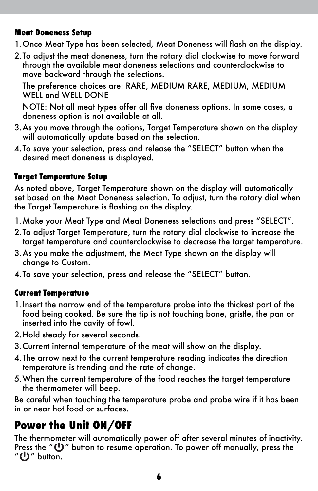#### **Meat Doneness Setup**

- 1.Once Meat Type has been selected, Meat Doneness will flash on the display.
- 2.To adjust the meat doneness, turn the rotary dial clockwise to move forward through the available meat doneness selections and counterclockwise to move backward through the selections.

The preference choices are: RARE, MEDIUM RARE, MEDIUM, MEDIUM WELL and WELL DONE

NOTE: Not all meat types offer all five doneness options. In some cases, a doneness option is not available at all.

- 3.As you move through the options, Target Temperature shown on the display will automatically update based on the selection.
- 4.To save your selection, press and release the "SELECT" button when the desired meat doneness is displayed.

#### **Target Temperature Setup**

As noted above, Target Temperature shown on the display will automatically set based on the Meat Doneness selection. To adjust, turn the rotary dial when the Target Temperature is flashing on the display.

- 1.Make your Meat Type and Meat Doneness selections and press "SELECT".
- 2.To adjust Target Temperature, turn the rotary dial clockwise to increase the target temperature and counterclockwise to decrease the target temperature.
- 3.As you make the adjustment, the Meat Type shown on the display will change to Custom.
- 4.To save your selection, press and release the "SELECT" button.

#### **Current Temperature**

- 1.Insert the narrow end of the temperature probe into the thickest part of the food being cooked. Be sure the tip is not touching bone, gristle, the pan or inserted into the cavity of fowl.
- 2.Hold steady for several seconds.
- 3.Current internal temperature of the meat will show on the display.
- 4.The arrow next to the current temperature reading indicates the direction temperature is trending and the rate of change.
- 5.When the current temperature of the food reaches the target temperature the thermometer will beep.

Be careful when touching the temperature probe and probe wire if it has been in or near hot food or surfaces.

# **Power the Unit ON/OFF**

The thermometer will automatically power off after several minutes of inactivity. Press the " $\bigcup$ " button to resume operation. To power off manually, press the " U" button.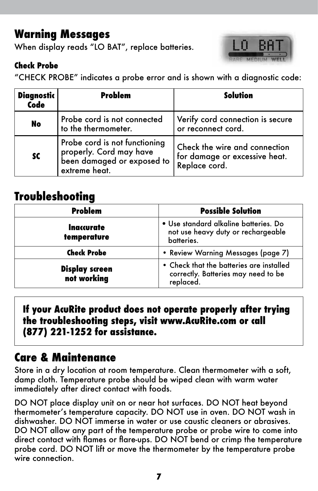# **Warning Messages**

When display reads "LO BAT", replace batteries.

#### **Check Probe**



"CHECK PROBE" indicates a probe error and is shown with a diagnostic code:

| <b>Diagnostic</b><br>Code | Problem                                                                                                 | Solution                                                                        |
|---------------------------|---------------------------------------------------------------------------------------------------------|---------------------------------------------------------------------------------|
| No                        | Probe cord is not connected<br>to the thermometer.                                                      | Verify cord connection is secure<br>or reconnect cord.                          |
| <b>SC</b>                 | Probe cord is not functioning<br>properly. Cord may have<br>been damaged or exposed to<br>extreme heat. | Check the wire and connection<br>for damage or excessive heat.<br>Replace cord. |

# **Troubleshooting**

| Problem                              | <b>Possible Solution</b>                                                                     |
|--------------------------------------|----------------------------------------------------------------------------------------------|
| Inaccurate<br>temperature            | · Use standard alkaline batteries. Do<br>not use heavy duty or rechargeable<br>batteries.    |
| <b>Check Probe</b>                   | • Review Warning Messages (page 7)                                                           |
| <b>Display screen</b><br>not working | • Check that the batteries are installed<br>correctly. Batteries may need to be<br>replaced. |

**If your AcuRite product does not operate properly after trying the troubleshooting steps, visit www.AcuRite.com or call (877) 221-1252 for assistance.**

# **Care & Maintenance**

Store in a dry location at room temperature. Clean thermometer with a soft, damp cloth. Temperature probe should be wiped clean with warm water immediately after direct contact with foods.

DO NOT place display unit on or near hot surfaces. DO NOT heat beyond thermometer's temperature capacity. DO NOT use in oven. DO NOT wash in dishwasher. DO NOT immerse in water or use caustic cleaners or abrasives. DO NOT allow any part of the temperature probe or probe wire to come into direct contact with flames or flare-ups. DO NOT bend or crimp the temperature probe cord. DO NOT lift or move the thermometer by the temperature probe wire connection.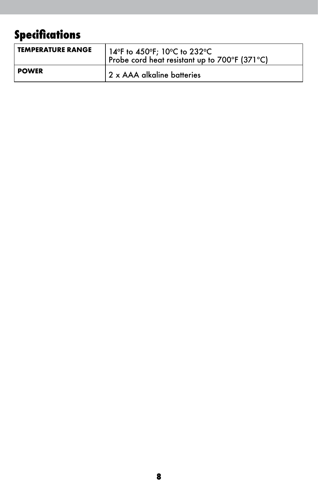# **Specifications**

| <b>TEMPERATURE RANGE</b> | 14°F to 450°F; 10°C to 232°C<br>Probe cord heat resistant up to 700°F (371°C) |
|--------------------------|-------------------------------------------------------------------------------|
| <b>POWER</b>             | 2 x AAA alkaline batteries                                                    |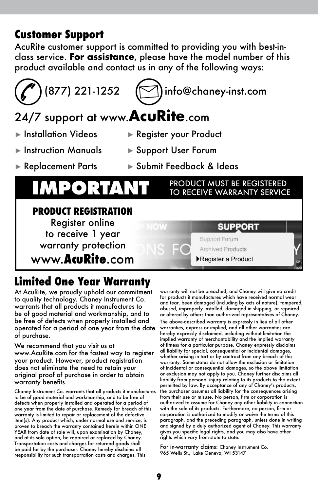## **Customer Support**

AcuRite customer support is committed to providing you with best-inclass service. **For assistance**, please have the model number of this product available and contact us in any of the following ways:



# $(877)$  221-1252  $($

# 24/7 support at www.**AcuRite**.com

- 
- ► Installation Videos ► Register your Product
- ► Instruction Manuals ► Support User Forum
- ► Replacement Parts ► Submit Feedback & Ideas

# **IMPORTANT PRODUCT MUST BE REGISTERED**

#### **PRODUCT REGISTRATION** Register online **SUPPORT** to receive 1 year Support Forum warranty protection **Archived Products** www.**AcuRite**.com ►Register a Product

# **Limited One Year Warranty**

At AcuRite, we proudly uphold our commitment to quality technology. Chaney Instrument Co. warrants that all products it manufactures to be of good material and workmanship, and to be free of defects when properly installed and operated for a period of one year from the date of purchase.

We recommend that you visit us at www.AcuRite.com for the fastest way to register your product. However, product registration does not eliminate the need to retain your original proof of purchase in order to obtain warranty benefits.

Chaney Instrument Co. warrants that all products it manufactures to be of good material and workmanship, and to be free of defects when properly installed and operated for a period of one year from the date of purchase. Remedy for breach of this warranty is limited to repair or replacement of the defective item(s). Any product which, under normal use and service, is proven to breach the warranty contained herein within ONE YEAR from date of sale will, upon examination by Chaney, and at its sole option, be repaired or replaced by Chaney. Transportation costs and charges for returned goods shall be paid for by the purchaser. Chaney hereby disclaims all responsibility for such transportation costs and charges. This

warranty will not be breached, and Chaney will give no credit for products it manufactures which have received normal wear and tear, been damaged (including by acts of nature), tampered, abused, improperly installed, damaged in shipping, or repaired or altered by others than authorized representatives of Chaney. The above-described warranty is expressly in lieu of all other warranties, express or implied, and all other warranties are hereby expressly disclaimed, including without limitation the implied warranty of merchantability and the implied warranty of fitness for a particular purpose. Chaney expressly disclaims all liability for special, consequential or incidental damages, whether arising in tort or by contract from any breach of this warranty. Some states do not allow the exclusion or limitation of incidental or consequential damages, so the above limitation or exclusion may not apply to you. Chaney further disclaims all liability from personal injury relating to its products to the extent permitted by law. By acceptance of any of Chaney's products, the purchaser assumes all liability for the consequences arising from their use or misuse. No person, firm or corporation is authorized to assume for Chaney any other liability in connection with the sale of its products. Furthermore, no person, firm or corporation is authorized to modify or waive the terms of this paragraph, and the preceding paragraph, unless done in writing and signed by a duly authorized agent of Chaney. This warranty gives you specific legal rights, and you may also have other rights which vary from state to state.

For in-warranty claims: Chaney Instrument Co. 965 Wells St., Lake Geneva, WI 53147